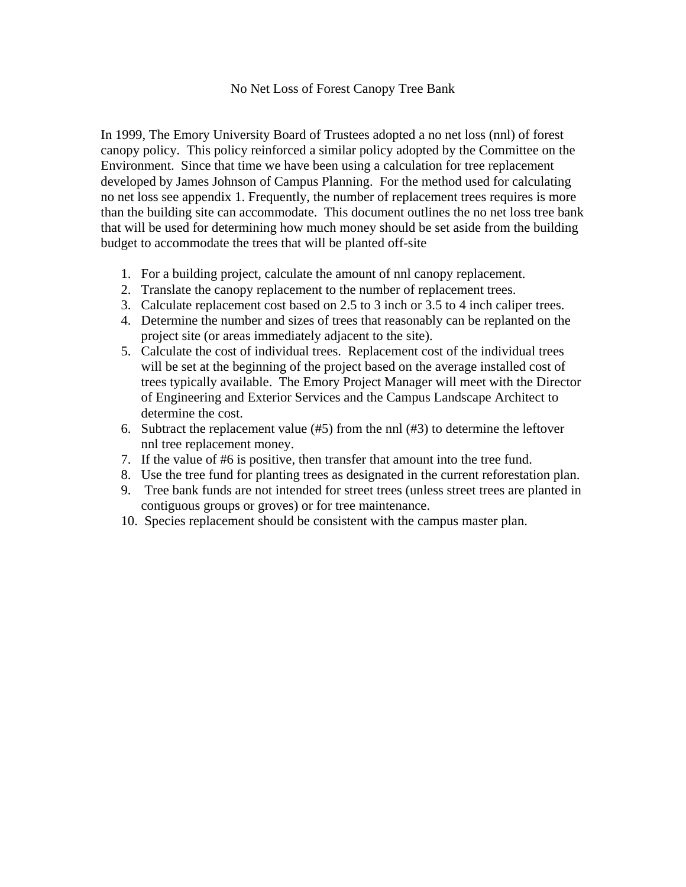## No Net Loss of Forest Canopy Tree Bank

In 1999, The Emory University Board of Trustees adopted a no net loss (nnl) of forest canopy policy. This policy reinforced a similar policy adopted by the Committee on the Environment. Since that time we have been using a calculation for tree replacement developed by James Johnson of Campus Planning. For the method used for calculating no net loss see appendix 1. Frequently, the number of replacement trees requires is more than the building site can accommodate. This document outlines the no net loss tree bank that will be used for determining how much money should be set aside from the building budget to accommodate the trees that will be planted off-site

- 1. For a building project, calculate the amount of nnl canopy replacement.
- 2. Translate the canopy replacement to the number of replacement trees.
- 3. Calculate replacement cost based on 2.5 to 3 inch or 3.5 to 4 inch caliper trees.
- 4. Determine the number and sizes of trees that reasonably can be replanted on the project site (or areas immediately adjacent to the site).
- 5. Calculate the cost of individual trees. Replacement cost of the individual trees will be set at the beginning of the project based on the average installed cost of trees typically available. The Emory Project Manager will meet with the Director of Engineering and Exterior Services and the Campus Landscape Architect to determine the cost.
- 6. Subtract the replacement value (#5) from the nnl (#3) to determine the leftover nnl tree replacement money.
- 7. If the value of #6 is positive, then transfer that amount into the tree fund.
- 8. Use the tree fund for planting trees as designated in the current reforestation plan.
- 9. Tree bank funds are not intended for street trees (unless street trees are planted in contiguous groups or groves) or for tree maintenance.
- 10. Species replacement should be consistent with the campus master plan.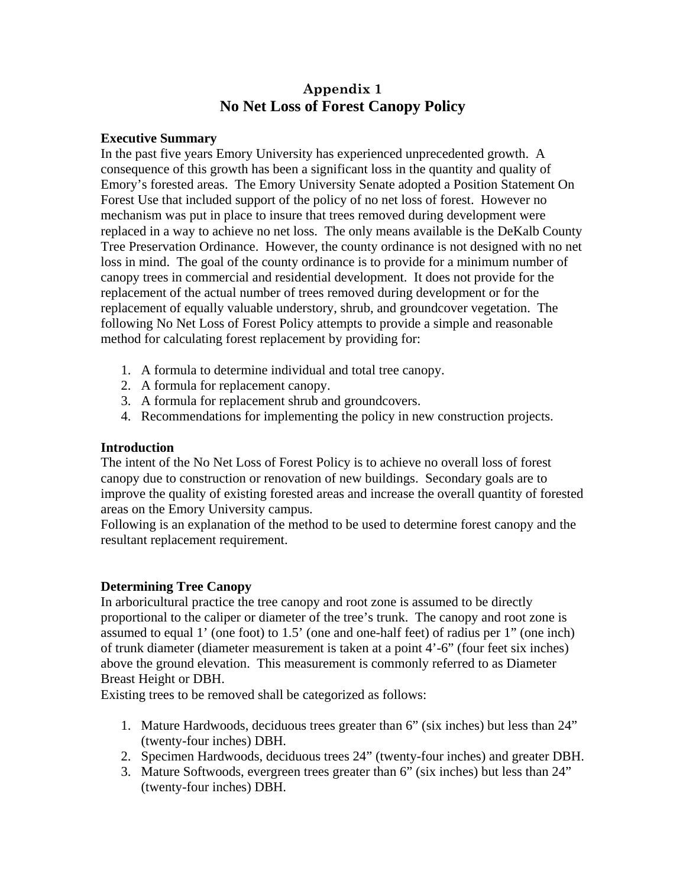## **Appendix 1 No Net Loss of Forest Canopy Policy**

## **Executive Summary**

In the past five years Emory University has experienced unprecedented growth. A consequence of this growth has been a significant loss in the quantity and quality of Emory's forested areas. The Emory University Senate adopted a Position Statement On Forest Use that included support of the policy of no net loss of forest. However no mechanism was put in place to insure that trees removed during development were replaced in a way to achieve no net loss. The only means available is the DeKalb County Tree Preservation Ordinance. However, the county ordinance is not designed with no net loss in mind. The goal of the county ordinance is to provide for a minimum number of canopy trees in commercial and residential development. It does not provide for the replacement of the actual number of trees removed during development or for the replacement of equally valuable understory, shrub, and groundcover vegetation. The following No Net Loss of Forest Policy attempts to provide a simple and reasonable method for calculating forest replacement by providing for:

- 1. A formula to determine individual and total tree canopy.
- 2. A formula for replacement canopy.
- 3. A formula for replacement shrub and groundcovers.
- 4. Recommendations for implementing the policy in new construction projects.

## **Introduction**

The intent of the No Net Loss of Forest Policy is to achieve no overall loss of forest canopy due to construction or renovation of new buildings. Secondary goals are to improve the quality of existing forested areas and increase the overall quantity of forested areas on the Emory University campus.

Following is an explanation of the method to be used to determine forest canopy and the resultant replacement requirement.

## **Determining Tree Canopy**

In arboricultural practice the tree canopy and root zone is assumed to be directly proportional to the caliper or diameter of the tree's trunk. The canopy and root zone is assumed to equal 1' (one foot) to 1.5' (one and one-half feet) of radius per 1" (one inch) of trunk diameter (diameter measurement is taken at a point 4'-6" (four feet six inches) above the ground elevation. This measurement is commonly referred to as Diameter Breast Height or DBH.

Existing trees to be removed shall be categorized as follows:

- 1. Mature Hardwoods, deciduous trees greater than 6" (six inches) but less than 24" (twenty-four inches) DBH.
- 2. Specimen Hardwoods, deciduous trees 24" (twenty-four inches) and greater DBH.
- 3. Mature Softwoods, evergreen trees greater than 6" (six inches) but less than 24" (twenty-four inches) DBH.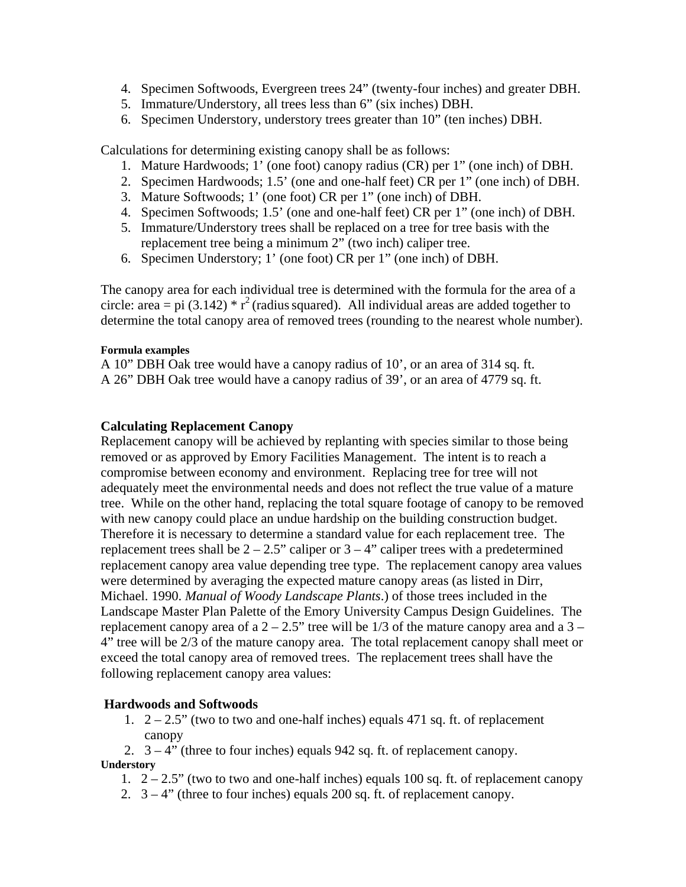- 4. Specimen Softwoods, Evergreen trees 24" (twenty-four inches) and greater DBH.
- 5. Immature/Understory, all trees less than 6" (six inches) DBH.
- 6. Specimen Understory, understory trees greater than 10" (ten inches) DBH.

Calculations for determining existing canopy shall be as follows:

- 1. Mature Hardwoods; 1' (one foot) canopy radius (CR) per 1" (one inch) of DBH.
- 2. Specimen Hardwoods; 1.5' (one and one-half feet) CR per 1" (one inch) of DBH.
- 3. Mature Softwoods; 1' (one foot) CR per 1" (one inch) of DBH.
- 4. Specimen Softwoods; 1.5' (one and one-half feet) CR per 1" (one inch) of DBH.
- 5. Immature/Understory trees shall be replaced on a tree for tree basis with the replacement tree being a minimum 2" (two inch) caliper tree.
- 6. Specimen Understory; 1' (one foot) CR per 1" (one inch) of DBH.

The canopy area for each individual tree is determined with the formula for the area of a circle: area = pi (3.142)  $*$  r<sup>2</sup> (radius squared). All individual areas are added together to determine the total canopy area of removed trees (rounding to the nearest whole number).

#### **Formula examples**

A 10" DBH Oak tree would have a canopy radius of 10', or an area of 314 sq. ft. A 26" DBH Oak tree would have a canopy radius of 39', or an area of 4779 sq. ft.

## **Calculating Replacement Canopy**

Replacement canopy will be achieved by replanting with species similar to those being removed or as approved by Emory Facilities Management. The intent is to reach a compromise between economy and environment. Replacing tree for tree will not adequately meet the environmental needs and does not reflect the true value of a mature tree. While on the other hand, replacing the total square footage of canopy to be removed with new canopy could place an undue hardship on the building construction budget. Therefore it is necessary to determine a standard value for each replacement tree. The replacement trees shall be  $2 - 2.5$ " caliper or  $3 - 4$ " caliper trees with a predetermined replacement canopy area value depending tree type. The replacement canopy area values were determined by averaging the expected mature canopy areas (as listed in Dirr, Michael. 1990. *Manual of Woody Landscape Plants*.) of those trees included in the Landscape Master Plan Palette of the Emory University Campus Design Guidelines. The replacement canopy area of a  $2 - 2.5$ " tree will be  $1/3$  of the mature canopy area and a  $3 -$ 4" tree will be 2/3 of the mature canopy area. The total replacement canopy shall meet or exceed the total canopy area of removed trees. The replacement trees shall have the following replacement canopy area values:

## **Hardwoods and Softwoods**

1.  $2 - 2.5$ " (two to two and one-half inches) equals 471 sq. ft. of replacement canopy

2.  $3 - 4$ " (three to four inches) equals 942 sq. ft. of replacement canopy. **Understory** 

- 1.  $2 2.5$ " (two to two and one-half inches) equals 100 sq. ft. of replacement canopy
- 2.  $3 4$ " (three to four inches) equals 200 sq. ft. of replacement canopy.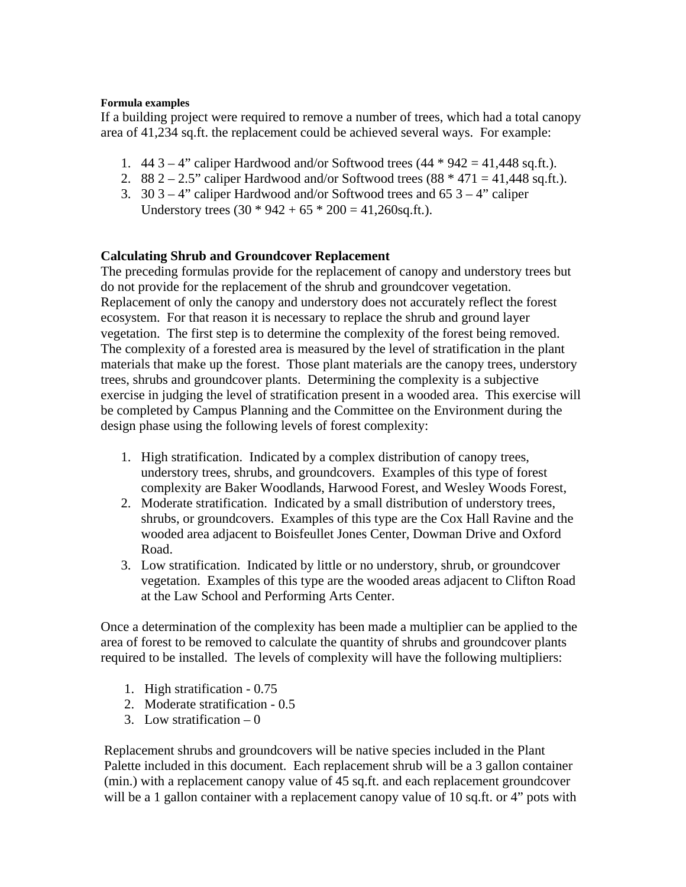#### **Formula examples**

If a building project were required to remove a number of trees, which had a total canopy area of 41,234 sq.ft. the replacement could be achieved several ways. For example:

- 1.  $443 4$ " caliper Hardwood and/or Softwood trees  $(44 * 942 = 41,448 \text{ sq.fit.})$ .
- 2. 88  $2 2.5$ " caliper Hardwood and/or Softwood trees  $(88 * 471 = 41,448 \text{ sq.fit.})$ .
- 3.  $30\frac{3}{-4}$  caliper Hardwood and/or Softwood trees and  $65\frac{3}{-4}$  caliper Understory trees  $(30 * 942 + 65 * 200 = 41,260$ sq.ft.).

## **Calculating Shrub and Groundcover Replacement**

The preceding formulas provide for the replacement of canopy and understory trees but do not provide for the replacement of the shrub and groundcover vegetation. Replacement of only the canopy and understory does not accurately reflect the forest ecosystem. For that reason it is necessary to replace the shrub and ground layer vegetation. The first step is to determine the complexity of the forest being removed. The complexity of a forested area is measured by the level of stratification in the plant materials that make up the forest. Those plant materials are the canopy trees, understory trees, shrubs and groundcover plants. Determining the complexity is a subjective exercise in judging the level of stratification present in a wooded area. This exercise will be completed by Campus Planning and the Committee on the Environment during the design phase using the following levels of forest complexity:

- 1. High stratification. Indicated by a complex distribution of canopy trees, understory trees, shrubs, and groundcovers. Examples of this type of forest complexity are Baker Woodlands, Harwood Forest, and Wesley Woods Forest,
- 2. Moderate stratification. Indicated by a small distribution of understory trees, shrubs, or groundcovers. Examples of this type are the Cox Hall Ravine and the wooded area adjacent to Boisfeullet Jones Center, Dowman Drive and Oxford Road.
- 3. Low stratification. Indicated by little or no understory, shrub, or groundcover vegetation. Examples of this type are the wooded areas adjacent to Clifton Road at the Law School and Performing Arts Center.

Once a determination of the complexity has been made a multiplier can be applied to the area of forest to be removed to calculate the quantity of shrubs and groundcover plants required to be installed. The levels of complexity will have the following multipliers:

- 1. High stratification 0.75
- 2. Moderate stratification 0.5
- 3. Low stratification  $-0$

Replacement shrubs and groundcovers will be native species included in the Plant Palette included in this document. Each replacement shrub will be a 3 gallon container (min.) with a replacement canopy value of 45 sq.ft. and each replacement groundcover will be a 1 gallon container with a replacement canopy value of 10 sq.ft. or 4" pots with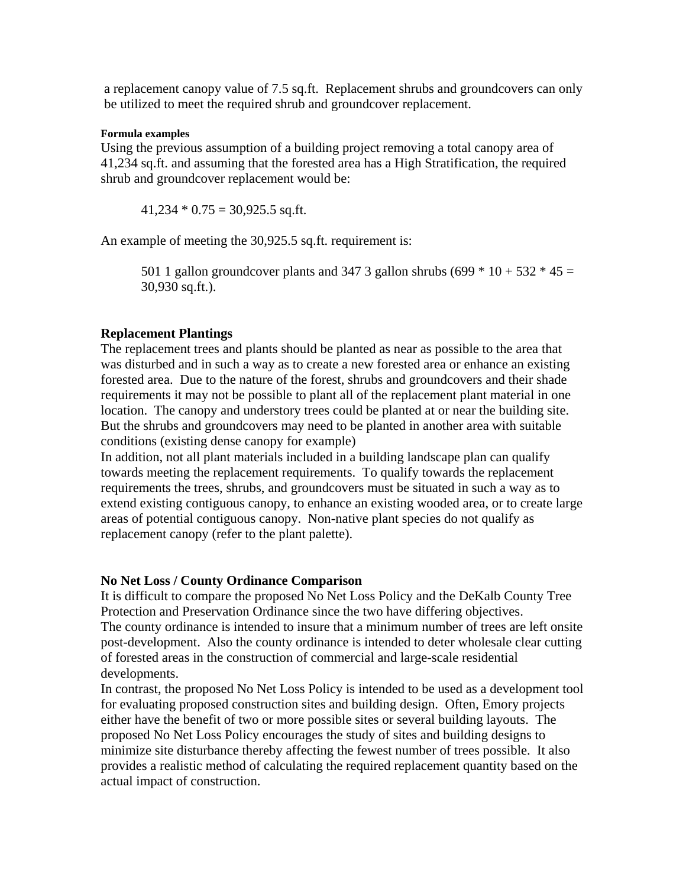a replacement canopy value of 7.5 sq.ft. Replacement shrubs and groundcovers can only be utilized to meet the required shrub and groundcover replacement.

#### **Formula examples**

Using the previous assumption of a building project removing a total canopy area of 41,234 sq.ft. and assuming that the forested area has a High Stratification, the required shrub and groundcover replacement would be:

 $41,234 * 0.75 = 30,925.5$  sq.ft.

An example of meeting the 30,925.5 sq.ft. requirement is:

501 1 gallon groundcover plants and 347 3 gallon shrubs (699  $*$  10 + 532  $*$  45 = 30,930 sq.ft.).

#### **Replacement Plantings**

The replacement trees and plants should be planted as near as possible to the area that was disturbed and in such a way as to create a new forested area or enhance an existing forested area. Due to the nature of the forest, shrubs and groundcovers and their shade requirements it may not be possible to plant all of the replacement plant material in one location. The canopy and understory trees could be planted at or near the building site. But the shrubs and groundcovers may need to be planted in another area with suitable conditions (existing dense canopy for example)

In addition, not all plant materials included in a building landscape plan can qualify towards meeting the replacement requirements. To qualify towards the replacement requirements the trees, shrubs, and groundcovers must be situated in such a way as to extend existing contiguous canopy, to enhance an existing wooded area, or to create large areas of potential contiguous canopy. Non-native plant species do not qualify as replacement canopy (refer to the plant palette).

#### **No Net Loss / County Ordinance Comparison**

It is difficult to compare the proposed No Net Loss Policy and the DeKalb County Tree Protection and Preservation Ordinance since the two have differing objectives. The county ordinance is intended to insure that a minimum number of trees are left onsite post-development. Also the county ordinance is intended to deter wholesale clear cutting of forested areas in the construction of commercial and large-scale residential developments.

In contrast, the proposed No Net Loss Policy is intended to be used as a development tool for evaluating proposed construction sites and building design. Often, Emory projects either have the benefit of two or more possible sites or several building layouts. The proposed No Net Loss Policy encourages the study of sites and building designs to minimize site disturbance thereby affecting the fewest number of trees possible. It also provides a realistic method of calculating the required replacement quantity based on the actual impact of construction.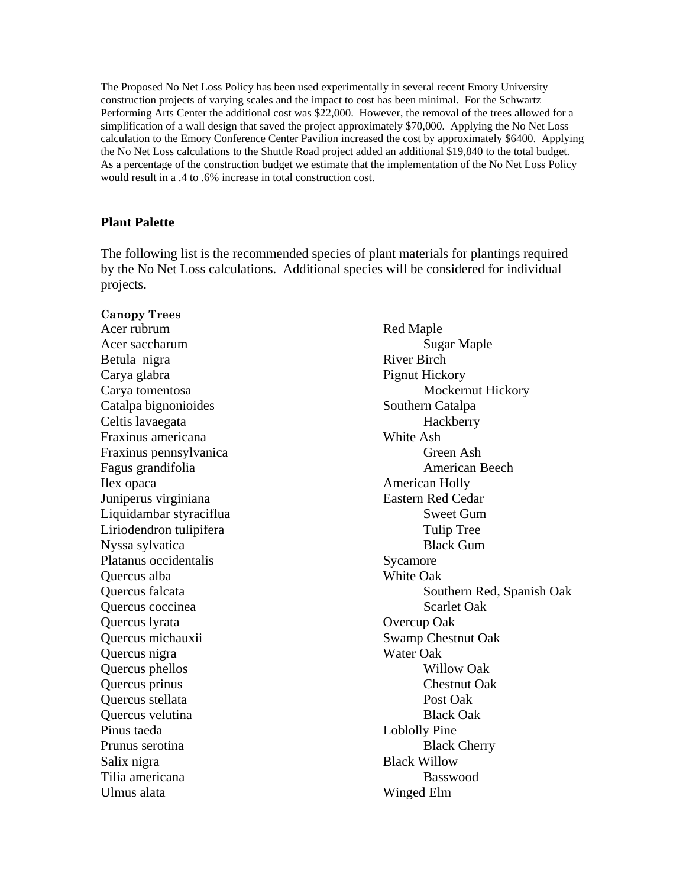The Proposed No Net Loss Policy has been used experimentally in several recent Emory University construction projects of varying scales and the impact to cost has been minimal. For the Schwartz Performing Arts Center the additional cost was \$22,000. However, the removal of the trees allowed for a simplification of a wall design that saved the project approximately \$70,000. Applying the No Net Loss calculation to the Emory Conference Center Pavilion increased the cost by approximately \$6400. Applying the No Net Loss calculations to the Shuttle Road project added an additional \$19,840 to the total budget. As a percentage of the construction budget we estimate that the implementation of the No Net Loss Policy would result in a .4 to .6% increase in total construction cost.

#### **Plant Palette**

The following list is the recommended species of plant materials for plantings required by the No Net Loss calculations. Additional species will be considered for individual projects.

**Canopy Trees**  Acer rubrum Red Maple Acer saccharum Sugar Maple Betula nigra River Birch Carya glabra **Pignut Hickory** Catalpa bignonioides Southern Catalpa Celtis lavaegata Hackberry Fraxinus americana White Ash Fraxinus pennsylvanica Green Ash Fagus grandifolia and a contract a contract a merican Beech and American Beech Ilex opaca American Holly Juniperus virginiana Eastern Red Cedar Liquidambar styraciflua Sweet Gum Liriodendron tulipifera Tulip Tree Nyssa sylvatica Black Gum Platanus occidentalis Sycamore Quercus alba White Oak Quercus coccinea Scarlet Oak Quercus lyrata Overcup Oak Quercus michauxii Swamp Chestnut Oak Quercus nigra Water Oak Quercus phellos Willow Oak Quercus prinus Chestnut Oak Quercus stellata Post Oak Quercus velutina Black Oak Pinus taeda Loblolly Pine Prunus serotina Black Cherry Salix nigra Black Willow Tilia americana and a series and a series and a series and a series and a series and a series and a series and  $B$ Ulmus alata Winged Elm

Carya tomentosa Mockernut Hickory Quercus falcata Southern Red, Spanish Oak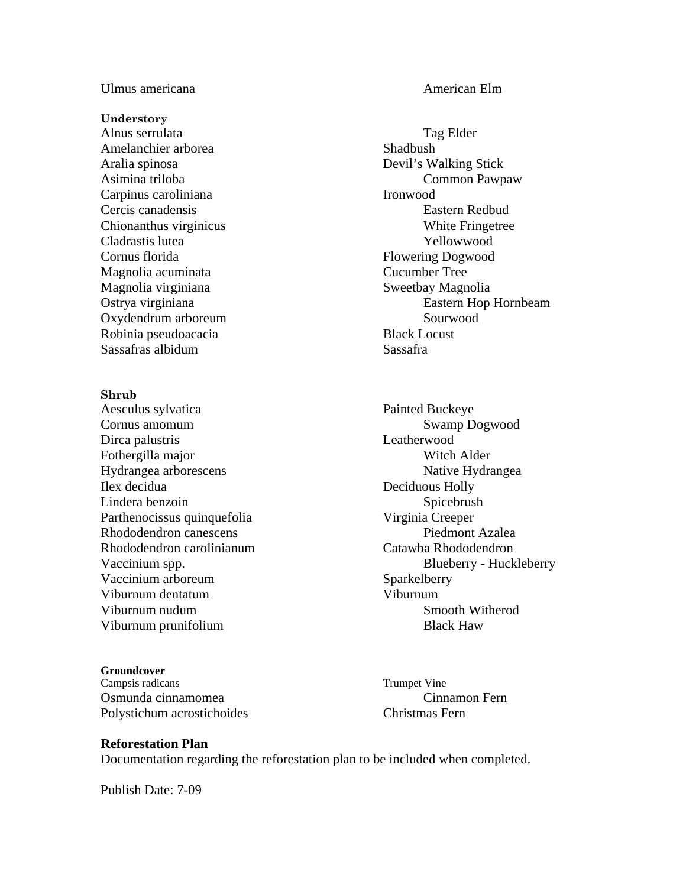Ulmus americana and a control of the control of the American Elm

**Understory** 

Alnus serrulata Tag Elder Amelanchier arborea Shadbush Aralia spinosa Devil's Walking Stick Carpinus caroliniana Ironwood Cladrastis lutea Yellowwood Cornus florida Flowering Dogwood Magnolia acuminata Cucumber Tree Magnolia virginiana Sweetbay Magnolia Oxydendrum arboreum Sourwood Robinia pseudoacacia Black Locust Sassafras albidum Sassafra

**Shrub**  Aesculus sylvatica Painted Buckeye Cornus amomum Swamp Dogwood Dirca palustris Leatherwood Fothergilla major Witch Alder Hydrangea arborescens Native Hydrangea Ilex decidua Deciduous Holly Lindera benzoin Spicebrush Parthenocissus quinquefolia Virginia Creeper Rhododendron canescens Piedmont Azalea Rhododendron carolinianum Catawba Rhododendron Vaccinium arboreum Sparkelberry Viburnum dentatum Viburnum Viburnum nudum Smooth Witherod Viburnum prunifolium and the state of the Black Haw

#### **Groundcover**

Campsis radicans Trumpet Vine Osmunda cinnamomea Cinnamon Fern Polystichum acrostichoides Christmas Fern

Asimina triloba Common Pawpaw Cercis canadensis Eastern Redbud Chionanthus virginicus White Fringetree Ostrya virginiana Eastern Hop Hornbeam

Vaccinium spp. Blueberry - Huckleberry - Huckleberry

#### **Reforestation Plan**

Documentation regarding the reforestation plan to be included when completed.

Publish Date: 7-09